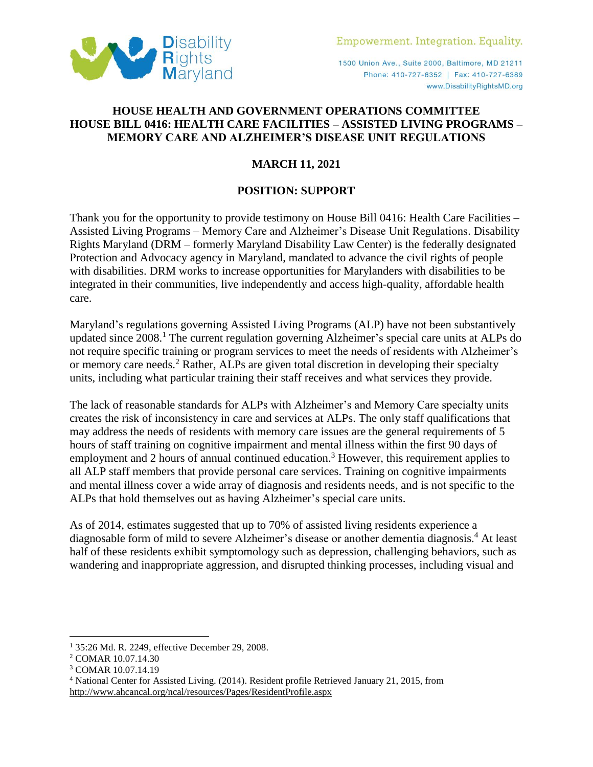

1500 Union Ave., Suite 2000, Baltimore, MD 21211 Phone: 410-727-6352 | Fax: 410-727-6389 www.DisabilityRightsMD.org

## **HOUSE HEALTH AND GOVERNMENT OPERATIONS COMMITTEE HOUSE BILL 0416: HEALTH CARE FACILITIES – ASSISTED LIVING PROGRAMS – MEMORY CARE AND ALZHEIMER'S DISEASE UNIT REGULATIONS**

## **MARCH 11, 2021**

## **POSITION: SUPPORT**

Thank you for the opportunity to provide testimony on House Bill 0416: Health Care Facilities – Assisted Living Programs – Memory Care and Alzheimer's Disease Unit Regulations. Disability Rights Maryland (DRM – formerly Maryland Disability Law Center) is the federally designated Protection and Advocacy agency in Maryland, mandated to advance the civil rights of people with disabilities. DRM works to increase opportunities for Marylanders with disabilities to be integrated in their communities, live independently and access high-quality, affordable health care.

Maryland's regulations governing Assisted Living Programs (ALP) have not been substantively updated since 2008. <sup>1</sup> The current regulation governing Alzheimer's special care units at ALPs do not require specific training or program services to meet the needs of residents with Alzheimer's or memory care needs.<sup>2</sup> Rather, ALPs are given total discretion in developing their specialty units, including what particular training their staff receives and what services they provide.

The lack of reasonable standards for ALPs with Alzheimer's and Memory Care specialty units creates the risk of inconsistency in care and services at ALPs. The only staff qualifications that may address the needs of residents with memory care issues are the general requirements of 5 hours of staff training on cognitive impairment and mental illness within the first 90 days of employment and 2 hours of annual continued education.<sup>3</sup> However, this requirement applies to all ALP staff members that provide personal care services. Training on cognitive impairments and mental illness cover a wide array of diagnosis and residents needs, and is not specific to the ALPs that hold themselves out as having Alzheimer's special care units.

As of 2014, estimates suggested that up to 70% of assisted living residents experience a diagnosable form of mild to severe Alzheimer's disease or another dementia diagnosis.<sup>4</sup> At least half of these residents exhibit symptomology such as depression, challenging behaviors, such as wandering and inappropriate aggression, and disrupted thinking processes, including visual and

 $\overline{a}$ 

<sup>1</sup> 35:26 Md. R. 2249, effective December 29, 2008.

<sup>2</sup> COMAR 10.07.14.30

<sup>3</sup> COMAR 10.07.14.19

<sup>4</sup> National Center for Assisted Living. (2014). Resident profile Retrieved January 21, 2015, from <http://www.ahcancal.org/ncal/resources/Pages/ResidentProfile.aspx>